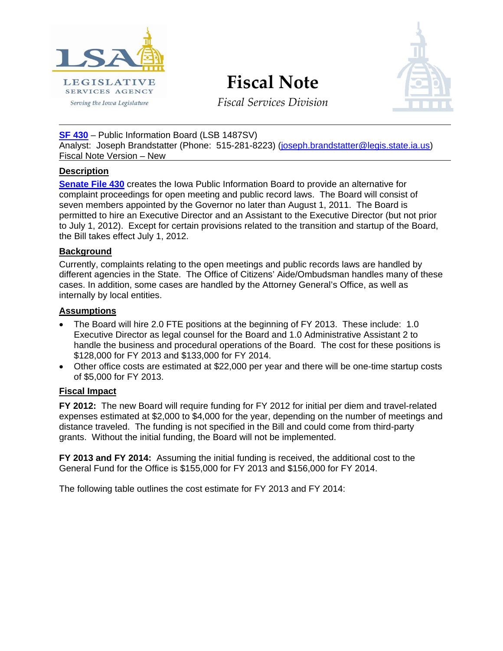

**Fiscal Note**



*Fiscal Services Division*

**[SF 430](http://coolice.legis.state.ia.us/Cool-ICE/default.asp?Category=billinfo&Service=Billbook&frame=1&GA=84&hbill=SF%20430)** – Public Information Board (LSB 1487SV) Analyst: Joseph Brandstatter (Phone: 515-281-8223) [\(joseph.brandstatter@legis.state.ia.us\)](mailto:joseph.brandstatter@legis.state.ia.us) Fiscal Note Version – New

# **Description**

**[Senate File 430](http://coolice.legis.state.ia.us/Cool-ICE/default.asp?Category=billinfo&Service=Billbook&frame=1&GA=84&hbill=SF%20430)** creates the Iowa Public Information Board to provide an alternative for complaint proceedings for open meeting and public record laws. The Board will consist of seven members appointed by the Governor no later than August 1, 2011. The Board is permitted to hire an Executive Director and an Assistant to the Executive Director (but not prior to July 1, 2012). Except for certain provisions related to the transition and startup of the Board, the Bill takes effect July 1, 2012.

# **Background**

Currently, complaints relating to the open meetings and public records laws are handled by different agencies in the State. The Office of Citizens' Aide/Ombudsman handles many of these cases. In addition, some cases are handled by the Attorney General's Office, as well as internally by local entities.

## **Assumptions**

- The Board will hire 2.0 FTE positions at the beginning of FY 2013. These include: 1.0 Executive Director as legal counsel for the Board and 1.0 Administrative Assistant 2 to handle the business and procedural operations of the Board. The cost for these positions is \$128,000 for FY 2013 and \$133,000 for FY 2014.
- Other office costs are estimated at \$22,000 per year and there will be one-time startup costs of \$5,000 for FY 2013.

# **Fiscal Impact**

**FY 2012:** The new Board will require funding for FY 2012 for initial per diem and travel-related expenses estimated at \$2,000 to \$4,000 for the year, depending on the number of meetings and distance traveled. The funding is not specified in the Bill and could come from third-party grants. Without the initial funding, the Board will not be implemented.

**FY 2013 and FY 2014:** Assuming the initial funding is received, the additional cost to the General Fund for the Office is \$155,000 for FY 2013 and \$156,000 for FY 2014.

The following table outlines the cost estimate for FY 2013 and FY 2014: